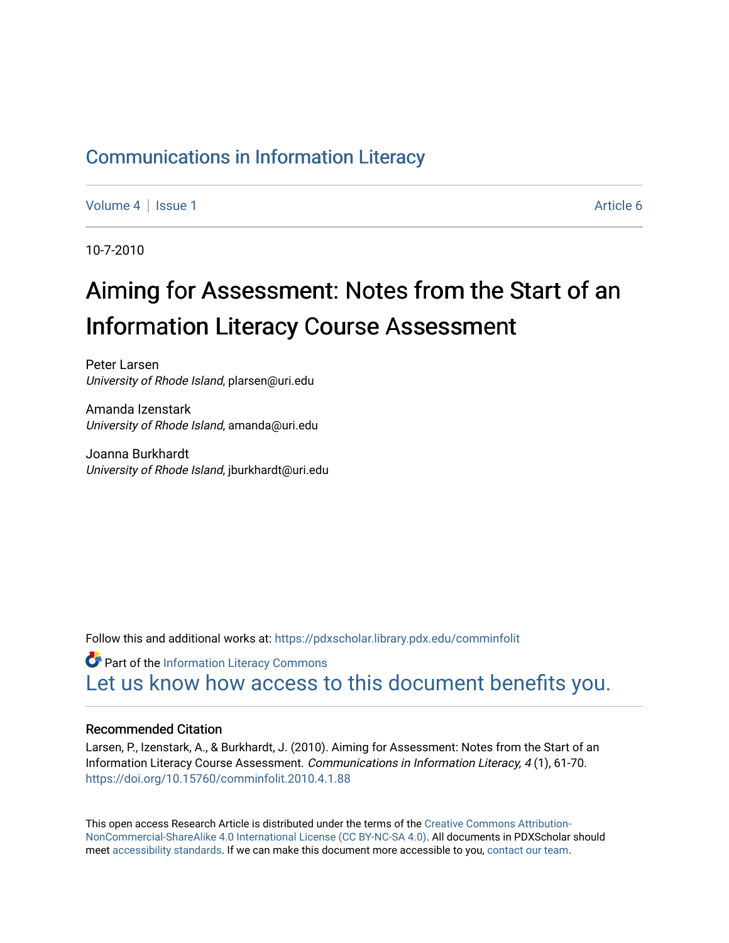# [Communications in Information Literacy](https://pdxscholar.library.pdx.edu/comminfolit)

[Volume 4](https://pdxscholar.library.pdx.edu/comminfolit/vol4) | [Issue 1](https://pdxscholar.library.pdx.edu/comminfolit/vol4/iss1) Article 6

10-7-2010

# Aiming for Assessment: Notes from the Start of an Information Literacy Course Assessment

Peter Larsen University of Rhode Island, plarsen@uri.edu

Amanda Izenstark University of Rhode Island, amanda@uri.edu

Joanna Burkhardt University of Rhode Island, jburkhardt@uri.edu

Follow this and additional works at: [https://pdxscholar.library.pdx.edu/comminfolit](https://pdxscholar.library.pdx.edu/comminfolit?utm_source=pdxscholar.library.pdx.edu%2Fcomminfolit%2Fvol4%2Fiss1%2F6&utm_medium=PDF&utm_campaign=PDFCoverPages) 

**Part of the [Information Literacy Commons](http://network.bepress.com/hgg/discipline/1243?utm_source=pdxscholar.library.pdx.edu%2Fcomminfolit%2Fvol4%2Fiss1%2F6&utm_medium=PDF&utm_campaign=PDFCoverPages)** [Let us know how access to this document benefits you.](http://library.pdx.edu/services/pdxscholar-services/pdxscholar-feedback/) 

#### Recommended Citation

Larsen, P., Izenstark, A., & Burkhardt, J. (2010). Aiming for Assessment: Notes from the Start of an Information Literacy Course Assessment. Communications in Information Literacy, 4 (1), 61-70. <https://doi.org/10.15760/comminfolit.2010.4.1.88>

This open access Research Article is distributed under the terms of the [Creative Commons Attribution-](https://creativecommons.org/licenses/by-nc-sa/4.0/)[NonCommercial-ShareAlike 4.0 International License \(CC BY-NC-SA 4.0\)](https://creativecommons.org/licenses/by-nc-sa/4.0/). All documents in PDXScholar should meet [accessibility standards](https://pdxscholar.library.pdx.edu/accessibility.html). If we can make this document more accessible to you, [contact our team.](mailto:pdxscholar@pdx.edu)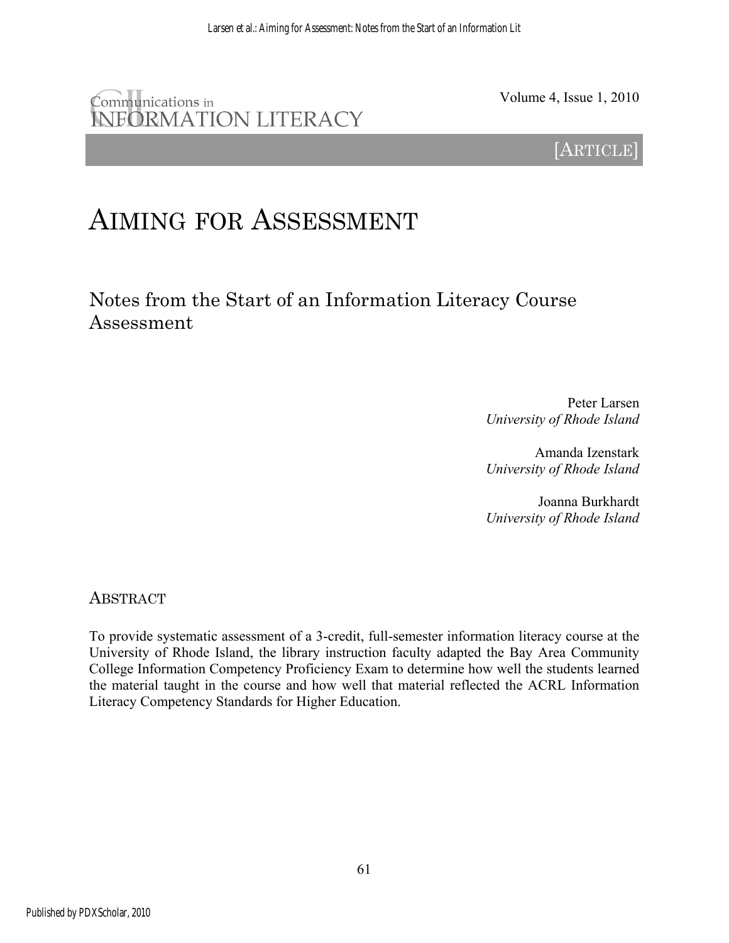# Communications in INFORMATION LITERACY

Volume 4, Issue 1, 2010

[ARTICLE]

# AIMING FOR ASSESSMENT

Notes from the Start of an Information Literacy Course Assessment

> Peter Larsen *University of Rhode Island*

> Amanda Izenstark *University of Rhode Island*

> Joanna Burkhardt *University of Rhode Island*

ABSTRACT

To provide systematic assessment of a 3-credit, full-semester information literacy course at the University of Rhode Island, the library instruction faculty adapted the Bay Area Community College Information Competency Proficiency Exam to determine how well the students learned the material taught in the course and how well that material reflected the ACRL Information Literacy Competency Standards for Higher Education.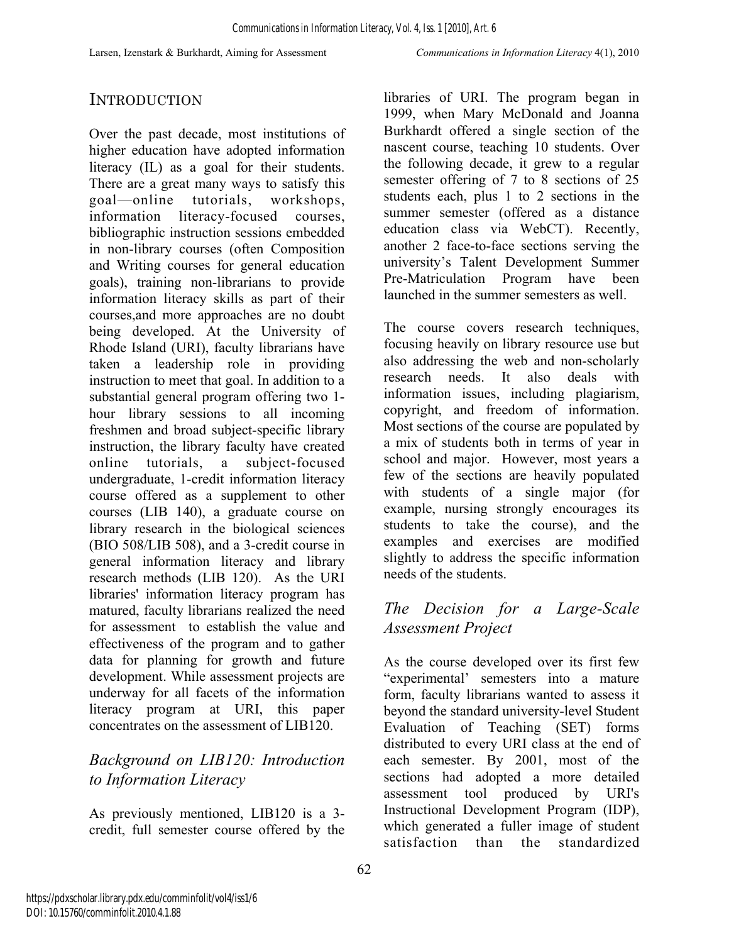# **INTRODUCTION**

Over the past decade, most institutions of higher education have adopted information literacy (IL) as a goal for their students. There are a great many ways to satisfy this goal—online tutorials, workshops, information literacy-focused courses, bibliographic instruction sessions embedded in non-library courses (often Composition and Writing courses for general education goals), training non-librarians to provide information literacy skills as part of their courses,and more approaches are no doubt being developed. At the University of Rhode Island (URI), faculty librarians have taken a leadership role in providing instruction to meet that goal. In addition to a substantial general program offering two 1 hour library sessions to all incoming freshmen and broad subject-specific library instruction, the library faculty have created online tutorials, a subject-focused undergraduate, 1-credit information literacy course offered as a supplement to other courses (LIB 140), a graduate course on library research in the biological sciences (BIO 508/LIB 508), and a 3-credit course in general information literacy and library research methods (LIB 120). As the URI libraries' information literacy program has matured, faculty librarians realized the need for assessment to establish the value and effectiveness of the program and to gather data for planning for growth and future development. While assessment projects are underway for all facets of the information literacy program at URI, this paper concentrates on the assessment of LIB120.

# *Background on LIB120: Introduction to Information Literacy*

As previously mentioned, LIB120 is a 3 credit, full semester course offered by the libraries of URI. The program began in 1999, when Mary McDonald and Joanna Burkhardt offered a single section of the nascent course, teaching 10 students. Over the following decade, it grew to a regular semester offering of 7 to 8 sections of 25 students each, plus 1 to 2 sections in the summer semester (offered as a distance education class via WebCT). Recently, another 2 face-to-face sections serving the university's Talent Development Summer Pre-Matriculation Program have been launched in the summer semesters as well.

The course covers research techniques, focusing heavily on library resource use but also addressing the web and non-scholarly research needs. It also deals with information issues, including plagiarism, copyright, and freedom of information. Most sections of the course are populated by a mix of students both in terms of year in school and major. However, most years a few of the sections are heavily populated with students of a single major (for example, nursing strongly encourages its students to take the course), and the examples and exercises are modified slightly to address the specific information needs of the students.

### *The Decision for a Large-Scale Assessment Project*

As the course developed over its first few "experimental' semesters into a mature form, faculty librarians wanted to assess it beyond the standard university-level Student Evaluation of Teaching (SET) forms distributed to every URI class at the end of each semester. By 2001, most of the sections had adopted a more detailed assessment tool produced by URI's Instructional Development Program (IDP), which generated a fuller image of student satisfaction than the standardized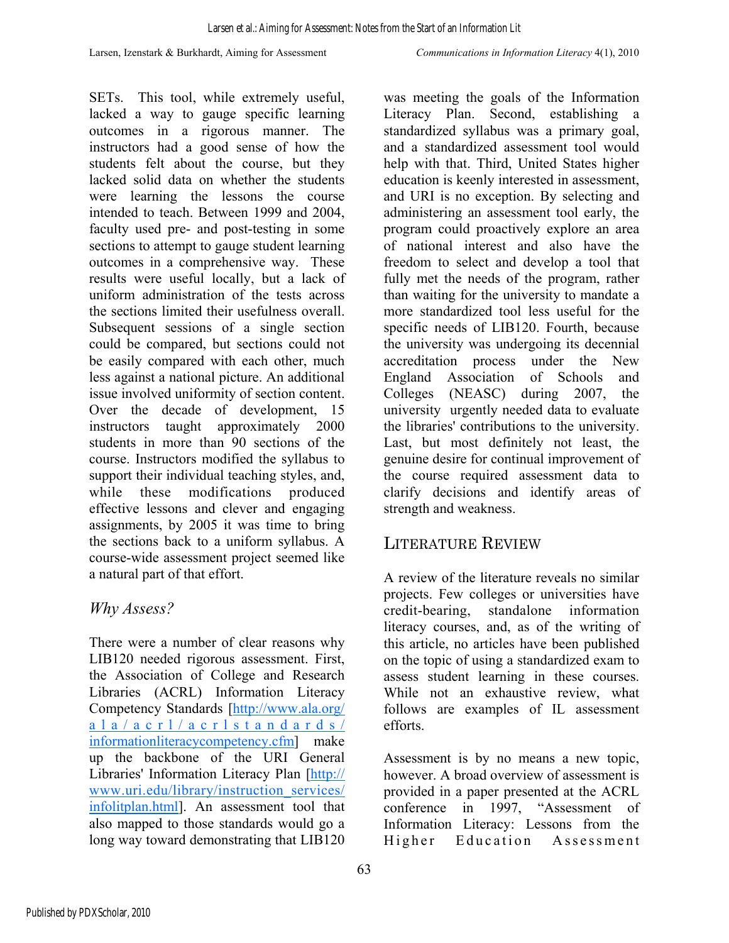SETs. This tool, while extremely useful, lacked a way to gauge specific learning outcomes in a rigorous manner. The instructors had a good sense of how the students felt about the course, but they lacked solid data on whether the students were learning the lessons the course intended to teach. Between 1999 and 2004, faculty used pre- and post-testing in some sections to attempt to gauge student learning outcomes in a comprehensive way. These results were useful locally, but a lack of uniform administration of the tests across the sections limited their usefulness overall. Subsequent sessions of a single section could be compared, but sections could not be easily compared with each other, much less against a national picture. An additional issue involved uniformity of section content. Over the decade of development, 15 instructors taught approximately 2000 students in more than 90 sections of the course. Instructors modified the syllabus to support their individual teaching styles, and, while these modifications produced effective lessons and clever and engaging assignments, by 2005 it was time to bring the sections back to a uniform syllabus. A course-wide assessment project seemed like a natural part of that effort.

### *Why Assess?*

There were a number of clear reasons why LIB120 needed rigorous assessment. First, the Association of College and Research Libraries (ACRL) Information Literacy Competency Standards [http://www.ala.org/  $a$  l  $a$  /  $a$  c r l  $\frac{1}{a}$  c r l s t a n d a r d s  $\frac{1}{a}$ informationliteracycompetency.cfm] make up the backbone of the URI General Libraries' Information Literacy Plan [http:// www.uri.edu/library/instruction\_services/ infolitplan.html]. An assessment tool that also mapped to those standards would go a long way toward demonstrating that LIB120

was meeting the goals of the Information Literacy Plan. Second, establishing a standardized syllabus was a primary goal, and a standardized assessment tool would help with that. Third, United States higher education is keenly interested in assessment, and URI is no exception. By selecting and administering an assessment tool early, the program could proactively explore an area of national interest and also have the freedom to select and develop a tool that fully met the needs of the program, rather than waiting for the university to mandate a more standardized tool less useful for the specific needs of LIB120. Fourth, because the university was undergoing its decennial accreditation process under the New England Association of Schools and Colleges (NEASC) during 2007, the university urgently needed data to evaluate the libraries' contributions to the university. Last, but most definitely not least, the genuine desire for continual improvement of the course required assessment data to clarify decisions and identify areas of strength and weakness.

# LITERATURE REVIEW

A review of the literature reveals no similar projects. Few colleges or universities have credit-bearing, standalone information literacy courses, and, as of the writing of this article, no articles have been published on the topic of using a standardized exam to assess student learning in these courses. While not an exhaustive review, what follows are examples of IL assessment efforts.

Assessment is by no means a new topic, however. A broad overview of assessment is provided in a paper presented at the ACRL conference in 1997, "Assessment of Information Literacy: Lessons from the Higher Education Assessment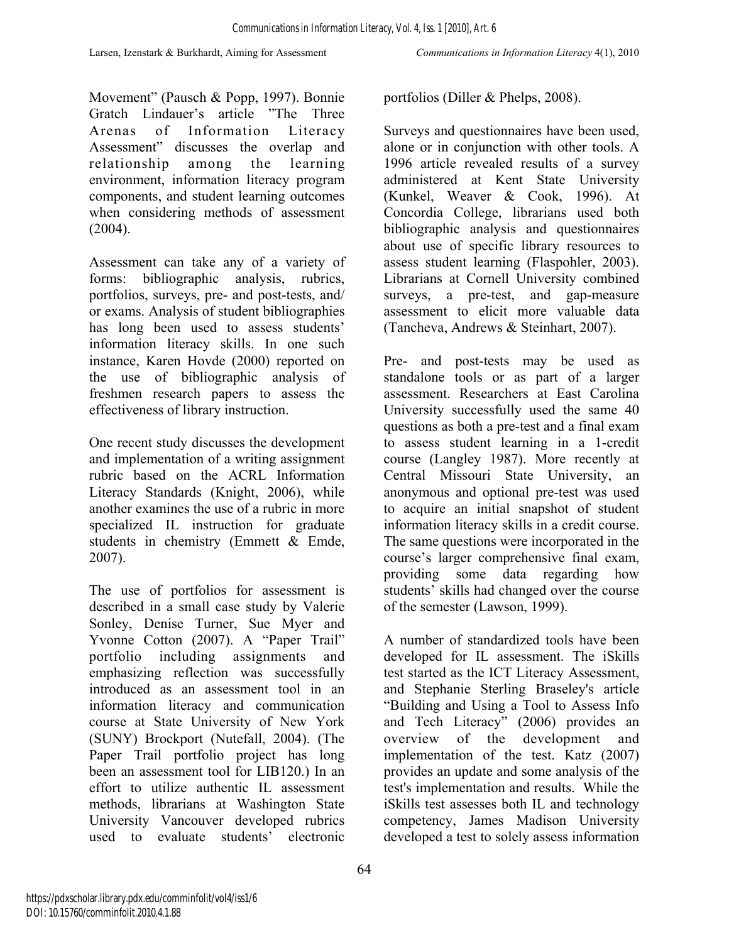Movement" (Pausch & Popp, 1997). Bonnie Gratch Lindauer's article "The Three Arenas of Information Literacy Assessment" discusses the overlap and relationship among the learning environment, information literacy program components, and student learning outcomes when considering methods of assessment (2004).

Assessment can take any of a variety of forms: bibliographic analysis, rubrics, portfolios, surveys, pre- and post-tests, and/ or exams. Analysis of student bibliographies has long been used to assess students' information literacy skills. In one such instance, Karen Hovde (2000) reported on the use of bibliographic analysis of freshmen research papers to assess the effectiveness of library instruction.

One recent study discusses the development and implementation of a writing assignment rubric based on the ACRL Information Literacy Standards (Knight, 2006), while another examines the use of a rubric in more specialized IL instruction for graduate students in chemistry (Emmett & Emde, 2007).

The use of portfolios for assessment is described in a small case study by Valerie Sonley, Denise Turner, Sue Myer and Yvonne Cotton (2007). A "Paper Trail" portfolio including assignments and emphasizing reflection was successfully introduced as an assessment tool in an information literacy and communication course at State University of New York (SUNY) Brockport (Nutefall, 2004). (The Paper Trail portfolio project has long been an assessment tool for LIB120.) In an effort to utilize authentic IL assessment methods, librarians at Washington State University Vancouver developed rubrics used to evaluate students' electronic

portfolios (Diller & Phelps, 2008).

Surveys and questionnaires have been used, alone or in conjunction with other tools. A 1996 article revealed results of a survey administered at Kent State University (Kunkel, Weaver & Cook, 1996). At Concordia College, librarians used both bibliographic analysis and questionnaires about use of specific library resources to assess student learning (Flaspohler, 2003). Librarians at Cornell University combined surveys, a pre-test, and gap-measure assessment to elicit more valuable data (Tancheva, Andrews & Steinhart, 2007).

Pre- and post-tests may be used as standalone tools or as part of a larger assessment. Researchers at East Carolina University successfully used the same 40 questions as both a pre-test and a final exam to assess student learning in a 1-credit course (Langley 1987). More recently at Central Missouri State University, an anonymous and optional pre-test was used to acquire an initial snapshot of student information literacy skills in a credit course. The same questions were incorporated in the course's larger comprehensive final exam, providing some data regarding how students' skills had changed over the course of the semester (Lawson, 1999).

A number of standardized tools have been developed for IL assessment. The iSkills test started as the ICT Literacy Assessment, and Stephanie Sterling Braseley's article "Building and Using a Tool to Assess Info and Tech Literacy" (2006) provides an overview of the development and implementation of the test. Katz (2007) provides an update and some analysis of the test's implementation and results. While the iSkills test assesses both IL and technology competency, James Madison University developed a test to solely assess information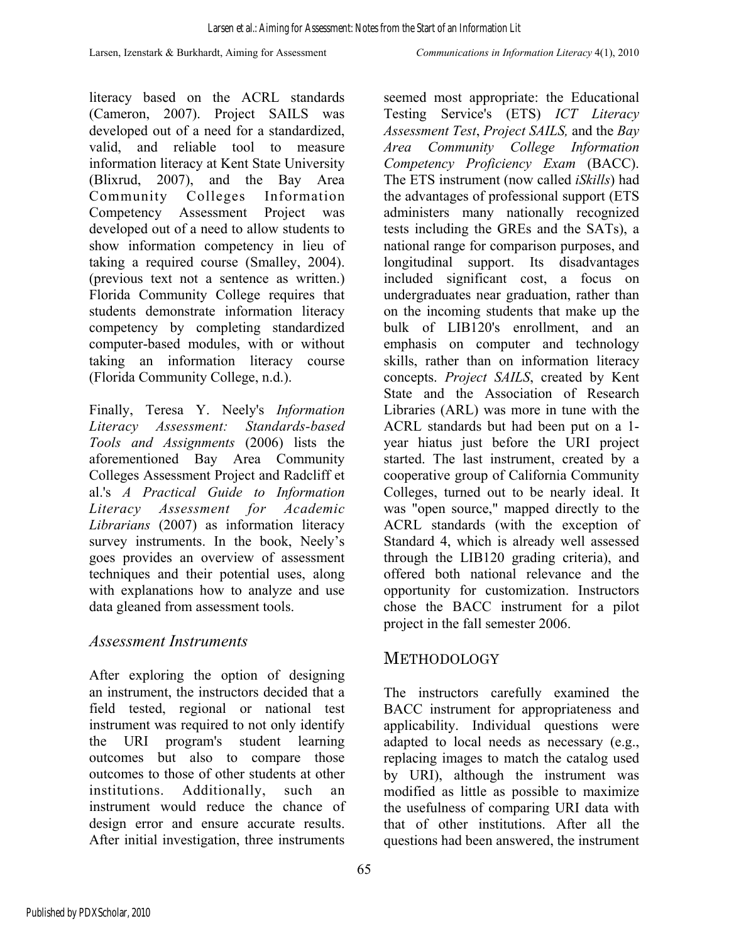Larsen, Izenstark & Burkhardt, Aiming for Assessment *Communications in Information Literacy* 4(1), 2010

literacy based on the ACRL standards (Cameron, 2007). Project SAILS was developed out of a need for a standardized, valid, and reliable tool to measure information literacy at Kent State University (Blixrud, 2007), and the Bay Area Community Colleges Information Competency Assessment Project was developed out of a need to allow students to show information competency in lieu of taking a required course (Smalley, 2004). (previous text not a sentence as written.) Florida Community College requires that students demonstrate information literacy competency by completing standardized computer-based modules, with or without taking an information literacy course (Florida Community College, n.d.).

Finally, Teresa Y. Neely's *Information Literacy Assessment: Standards-based Tools and Assignments* (2006) lists the aforementioned Bay Area Community Colleges Assessment Project and Radcliff et al.'s *A Practical Guide to Information Literacy Assessment for Academic Librarians* (2007) as information literacy survey instruments. In the book, Neely's goes provides an overview of assessment techniques and their potential uses, along with explanations how to analyze and use data gleaned from assessment tools.

### *Assessment Instruments*

After exploring the option of designing an instrument, the instructors decided that a field tested, regional or national test instrument was required to not only identify the URI program's student learning outcomes but also to compare those outcomes to those of other students at other institutions. Additionally, such an instrument would reduce the chance of design error and ensure accurate results. After initial investigation, three instruments

seemed most appropriate: the Educational Testing Service's (ETS) *ICT Literacy Assessment Test*, *Project SAILS,* and the *Bay Area Community College Information Competency Proficiency Exam* (BACC). The ETS instrument (now called *iSkills*) had the advantages of professional support (ETS administers many nationally recognized tests including the GREs and the SATs), a national range for comparison purposes, and longitudinal support. Its disadvantages included significant cost, a focus on undergraduates near graduation, rather than on the incoming students that make up the bulk of LIB120's enrollment, and an emphasis on computer and technology skills, rather than on information literacy concepts. *Project SAILS*, created by Kent State and the Association of Research Libraries (ARL) was more in tune with the ACRL standards but had been put on a 1 year hiatus just before the URI project started. The last instrument, created by a cooperative group of California Community Colleges, turned out to be nearly ideal. It was "open source," mapped directly to the ACRL standards (with the exception of Standard 4, which is already well assessed through the LIB120 grading criteria), and offered both national relevance and the opportunity for customization. Instructors chose the BACC instrument for a pilot project in the fall semester 2006.

# METHODOLOGY

The instructors carefully examined the BACC instrument for appropriateness and applicability. Individual questions were adapted to local needs as necessary (e.g., replacing images to match the catalog used by URI), although the instrument was modified as little as possible to maximize the usefulness of comparing URI data with that of other institutions. After all the questions had been answered, the instrument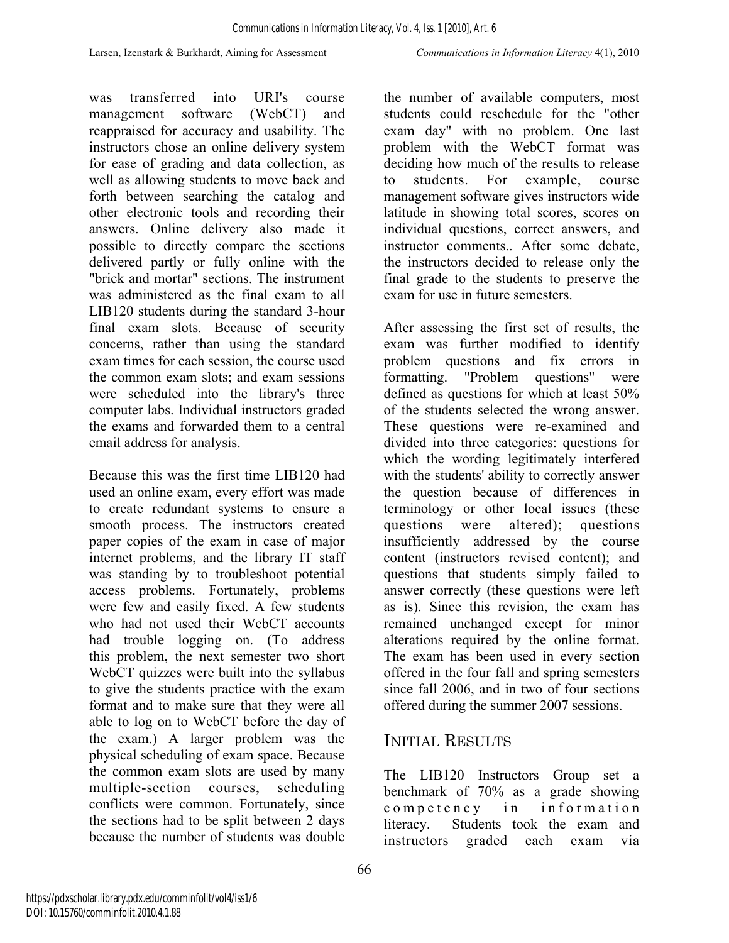was transferred into URI's course management software (WebCT) and reappraised for accuracy and usability. The instructors chose an online delivery system for ease of grading and data collection, as well as allowing students to move back and forth between searching the catalog and other electronic tools and recording their answers. Online delivery also made it possible to directly compare the sections delivered partly or fully online with the "brick and mortar" sections. The instrument was administered as the final exam to all LIB120 students during the standard 3-hour final exam slots. Because of security concerns, rather than using the standard exam times for each session, the course used the common exam slots; and exam sessions were scheduled into the library's three computer labs. Individual instructors graded the exams and forwarded them to a central email address for analysis.

Because this was the first time LIB120 had used an online exam, every effort was made to create redundant systems to ensure a smooth process. The instructors created paper copies of the exam in case of major internet problems, and the library IT staff was standing by to troubleshoot potential access problems. Fortunately, problems were few and easily fixed. A few students who had not used their WebCT accounts had trouble logging on. (To address this problem, the next semester two short WebCT quizzes were built into the syllabus to give the students practice with the exam format and to make sure that they were all able to log on to WebCT before the day of the exam.) A larger problem was the physical scheduling of exam space. Because the common exam slots are used by many multiple-section courses, scheduling conflicts were common. Fortunately, since the sections had to be split between 2 days because the number of students was double

the number of available computers, most students could reschedule for the "other exam day" with no problem. One last problem with the WebCT format was deciding how much of the results to release to students. For example, course management software gives instructors wide latitude in showing total scores, scores on individual questions, correct answers, and instructor comments.. After some debate, the instructors decided to release only the final grade to the students to preserve the exam for use in future semesters.

After assessing the first set of results, the exam was further modified to identify problem questions and fix errors in formatting. "Problem questions" were defined as questions for which at least 50% of the students selected the wrong answer. These questions were re-examined and divided into three categories: questions for which the wording legitimately interfered with the students' ability to correctly answer the question because of differences in terminology or other local issues (these questions were altered); questions insufficiently addressed by the course content (instructors revised content); and questions that students simply failed to answer correctly (these questions were left as is). Since this revision, the exam has remained unchanged except for minor alterations required by the online format. The exam has been used in every section offered in the four fall and spring semesters since fall 2006, and in two of four sections offered during the summer 2007 sessions.

# INITIAL RESULTS

The LIB120 Instructors Group set a benchmark of 70% as a grade showing competency in information literacy. Students took the exam and instructors graded each exam via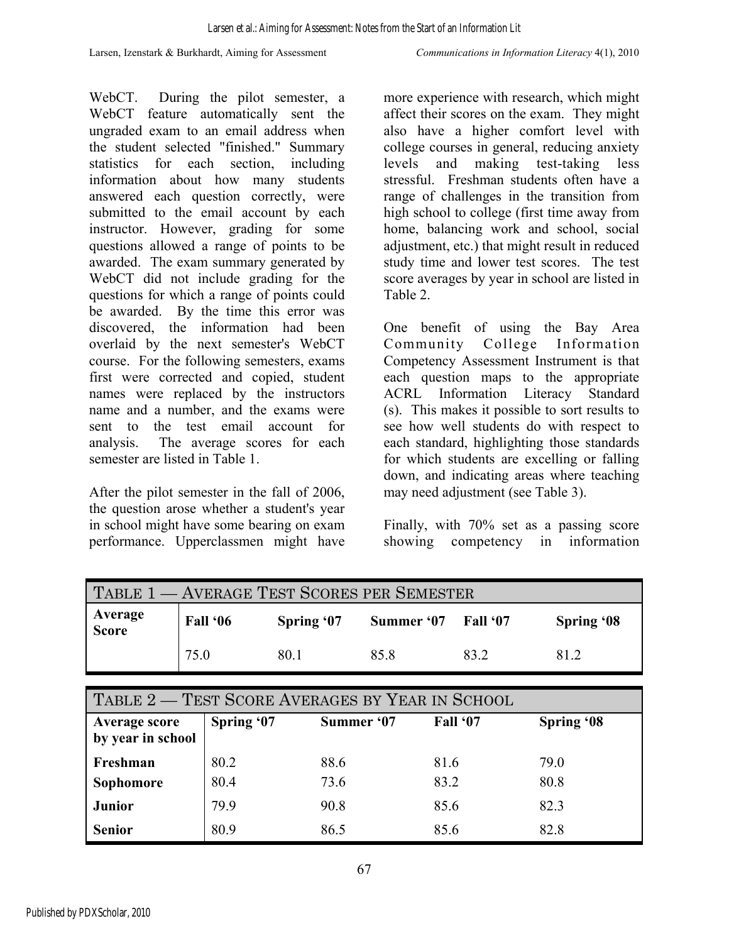Larsen, Izenstark & Burkhardt, Aiming for Assessment *Communications in Information Literacy* 4(1), 2010

WebCT. During the pilot semester, a WebCT feature automatically sent the ungraded exam to an email address when the student selected "finished." Summary statistics for each section, including information about how many students answered each question correctly, were submitted to the email account by each instructor. However, grading for some questions allowed a range of points to be awarded. The exam summary generated by WebCT did not include grading for the questions for which a range of points could be awarded. By the time this error was discovered, the information had been overlaid by the next semester's WebCT course. For the following semesters, exams first were corrected and copied, student names were replaced by the instructors name and a number, and the exams were sent to the test email account for analysis. The average scores for each semester are listed in Table 1.

After the pilot semester in the fall of 2006, the question arose whether a student's year in school might have some bearing on exam performance. Upperclassmen might have more experience with research, which might affect their scores on the exam. They might also have a higher comfort level with college courses in general, reducing anxiety levels and making test-taking less stressful. Freshman students often have a range of challenges in the transition from high school to college (first time away from home, balancing work and school, social adjustment, etc.) that might result in reduced study time and lower test scores. The test score averages by year in school are listed in Table 2.

One benefit of using the Bay Area Community College Information Competency Assessment Instrument is that each question maps to the appropriate ACRL Information Literacy Standard (s). This makes it possible to sort results to see how well students do with respect to each standard, highlighting those standards for which students are excelling or falling down, and indicating areas where teaching may need adjustment (see Table 3).

Finally, with 70% set as a passing score showing competency in information

| TABLE 1 - AVERAGE TEST SCORES PER SEMESTER |          |            |            |                 |                   |  |  |  |
|--------------------------------------------|----------|------------|------------|-----------------|-------------------|--|--|--|
| <b>Average</b><br>Score                    | Fall '06 | Spring '07 | Summer '07 | <b>Fall '07</b> | <b>Spring '08</b> |  |  |  |
|                                            | 75.0     | 80.1       | 858        | 83 2            | 812               |  |  |  |

| TABLE 2 – TEST SCORE AVERAGES BY YEAR IN SCHOOL |            |            |          |                   |  |  |  |  |
|-------------------------------------------------|------------|------------|----------|-------------------|--|--|--|--|
| <b>Average score</b><br>by year in school       | Spring '07 | Summer '07 | Fall '07 | <b>Spring '08</b> |  |  |  |  |
| Freshman                                        | 80.2       | 88.6       | 81.6     | 79.0              |  |  |  |  |
| Sophomore                                       | 80.4       | 73.6       | 83.2     | 80.8              |  |  |  |  |
| <b>Junior</b>                                   | 79.9       | 90.8       | 85.6     | 82.3              |  |  |  |  |
| <b>Senior</b>                                   | 80.9       | 86.5       | 85.6     | 82.8              |  |  |  |  |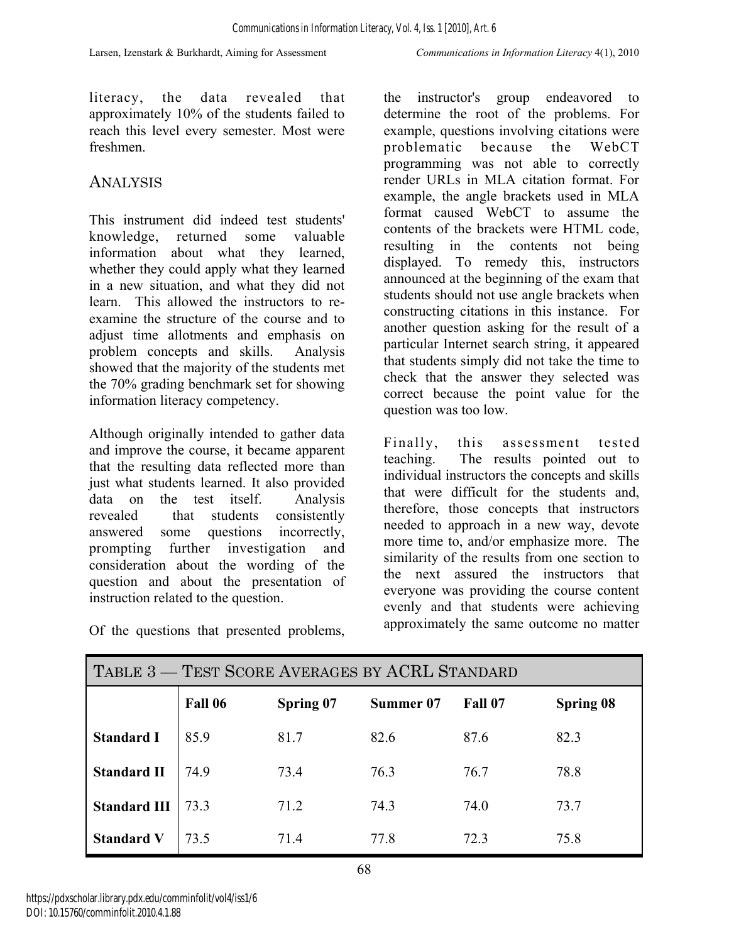literacy, the data revealed that approximately 10% of the students failed to reach this level every semester. Most were freshmen.

### ANALYSIS

This instrument did indeed test students' knowledge, returned some valuable information about what they learned, whether they could apply what they learned in a new situation, and what they did not learn. This allowed the instructors to reexamine the structure of the course and to adjust time allotments and emphasis on problem concepts and skills. Analysis showed that the majority of the students met the 70% grading benchmark set for showing information literacy competency.

Although originally intended to gather data and improve the course, it became apparent that the resulting data reflected more than just what students learned. It also provided data on the test itself. Analysis revealed that students consistently answered some questions incorrectly, prompting further investigation and consideration about the wording of the question and about the presentation of instruction related to the question.

the instructor's group endeavored to determine the root of the problems. For example, questions involving citations were problematic because the WebCT programming was not able to correctly render URLs in MLA citation format. For example, the angle brackets used in MLA format caused WebCT to assume the contents of the brackets were HTML code, resulting in the contents not being displayed. To remedy this, instructors announced at the beginning of the exam that students should not use angle brackets when constructing citations in this instance. For another question asking for the result of a particular Internet search string, it appeared that students simply did not take the time to check that the answer they selected was correct because the point value for the question was too low.

Finally, this assessment tested teaching. The results pointed out to individual instructors the concepts and skills that were difficult for the students and, therefore, those concepts that instructors needed to approach in a new way, devote more time to, and/or emphasize more. The similarity of the results from one section to the next assured the instructors that everyone was providing the course content evenly and that students were achieving approximately the same outcome no matter

| TABLE 3 – TEST SCORE AVERAGES BY ACRL STANDARD |         |           |           |         |           |  |  |  |
|------------------------------------------------|---------|-----------|-----------|---------|-----------|--|--|--|
|                                                | Fall 06 | Spring 07 | Summer 07 | Fall 07 | Spring 08 |  |  |  |
| <b>Standard I</b>                              | 85.9    | 81.7      | 82.6      | 87.6    | 82.3      |  |  |  |
| <b>Standard II</b>                             | 74.9    | 73.4      | 76.3      | 76.7    | 78.8      |  |  |  |
| <b>Standard III</b>                            | 73.3    | 71.2      | 74.3      | 74.0    | 73.7      |  |  |  |
| <b>Standard V</b>                              | 73.5    | 71.4      | 77.8      | 72.3    | 75.8      |  |  |  |

Of the questions that presented problems,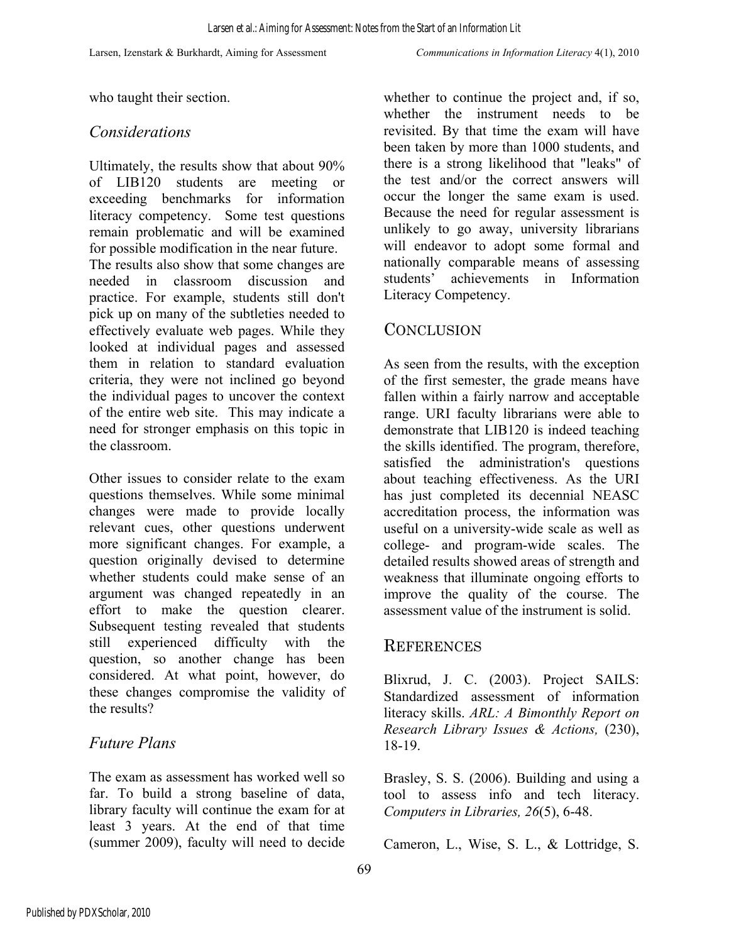who taught their section.

#### *Considerations*

Ultimately, the results show that about 90% of LIB120 students are meeting or exceeding benchmarks for information literacy competency. Some test questions remain problematic and will be examined for possible modification in the near future.

The results also show that some changes are needed in classroom discussion and practice. For example, students still don't pick up on many of the subtleties needed to effectively evaluate web pages. While they looked at individual pages and assessed them in relation to standard evaluation criteria, they were not inclined go beyond the individual pages to uncover the context of the entire web site. This may indicate a need for stronger emphasis on this topic in the classroom.

Other issues to consider relate to the exam questions themselves. While some minimal changes were made to provide locally relevant cues, other questions underwent more significant changes. For example, a question originally devised to determine whether students could make sense of an argument was changed repeatedly in an effort to make the question clearer. Subsequent testing revealed that students still experienced difficulty with the question, so another change has been considered. At what point, however, do these changes compromise the validity of the results?

### *Future Plans*

The exam as assessment has worked well so far. To build a strong baseline of data, library faculty will continue the exam for at least 3 years. At the end of that time (summer 2009), faculty will need to decide whether to continue the project and, if so, whether the instrument needs to be revisited. By that time the exam will have been taken by more than 1000 students, and there is a strong likelihood that "leaks" of the test and/or the correct answers will occur the longer the same exam is used. Because the need for regular assessment is unlikely to go away, university librarians will endeavor to adopt some formal and nationally comparable means of assessing students' achievements in Information Literacy Competency.

#### **CONCLUSION**

As seen from the results, with the exception of the first semester, the grade means have fallen within a fairly narrow and acceptable range. URI faculty librarians were able to demonstrate that LIB120 is indeed teaching the skills identified. The program, therefore, satisfied the administration's questions about teaching effectiveness. As the URI has just completed its decennial NEASC accreditation process, the information was useful on a university-wide scale as well as college- and program-wide scales. The detailed results showed areas of strength and weakness that illuminate ongoing efforts to improve the quality of the course. The assessment value of the instrument is solid.

#### **REFERENCES**

Blixrud, J. C. (2003). Project SAILS: Standardized assessment of information literacy skills. *ARL: A Bimonthly Report on Research Library Issues & Actions,* (230), 18-19.

Brasley, S. S. (2006). Building and using a tool to assess info and tech literacy. *Computers in Libraries, 26*(5), 6-48.

Cameron, L., Wise, S. L., & Lottridge, S.